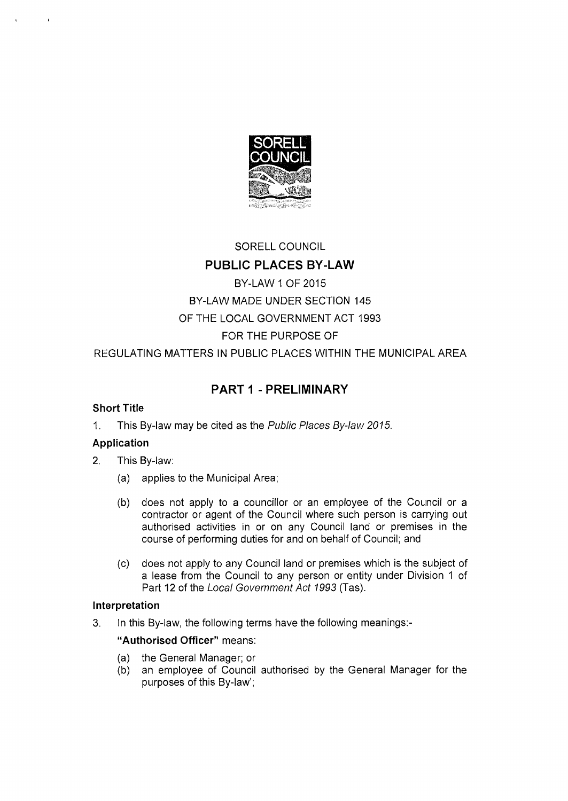

# SORELL COUNCIL

# PUBLIC PLACES BY-LAW

# BY-LAW 1 OF 2015 BY-LAW MADE UNDER SECTION 145 OF THE LOCAL GOVERNMENT ACT 1993 FOR THE PURPOSE OF

REGULATING MATTERS IN PUBLIC PLACES WITHIN THE MUNICIPAL AREA

# PART 1 - PRELIMINARY

# **Short Title**

1. This By-law may be cited as the *Public Places By-law 2015.* 

# **Application**

- 2. This By-law:
	- (a) applies to the Municipal Area;
	- (b) does not apply to a councillor or an employee of the Council or a contractor or agent of the Council where such person is carrying out authorised activities in or on any Council land or premises in the course of performing duties for and on behalf of Council; and
	- (c) does not apply to any Council land or premises which is the subject of a lease from the Council to any person or entity under Division 1 of Part 12 of the *Local Government Act 1993* (Tas).

# **Interpretation**

3. In this By-law, the following terms have the following meanings:-

# **"Authorised Officer"** means:

- (a) the General Manager; or
- (b) an employee of Council authorised by the General Manager for the purposes of this By-law';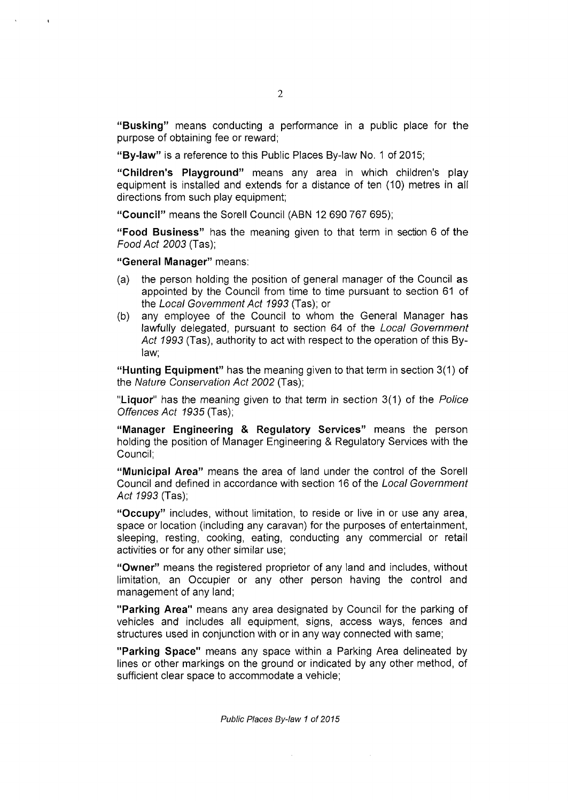**"Busking"** means conducting a performance in a public place for the purpose of obtaining fee or reward;

**"By-law"** is a reference to this Public Places By-law No. 1 of 2015;

**"Children's Playground"** means any area in which children's play equipment is installed and extends for a distance of ten (10) metres in all directions from such play equipment;

**"Council"** means the Sorell Council (ABN 12 690 767 695);

**"Food Business"** has the meaning given to that term in section 6 of the *Food Act 2003* (Tas);

**"General Manager"** means:

 $\mathbf{r}$ 

- (a) the person holding the position of general manager of the Council as appointed by the Council from time to time pursuant to section 61 of the *Local Government Act 1993* (Tas); or
- (b) any employee of the Council to whom the General Manager has lawfully delegated, pursuant to section 64 of the *Local Government Act 1993* (Tas), authority to act with respect to the operation of this Bylaw;

**"Hunting Equipment"** has the meaning given to that term in section **3(1)** of the *Nature Conservation Act 2002* (Tas);

**"Liquor"** has the meaning given to that term in section 3(1) of the *Police Offences Act 1935* (Tas);

**"Manager Engineering & Regulatory Services"** means the person holding the position of Manager Engineering & Regulatory Services with the Council;

**"Municipal Area"** means the area of land under the control of the Sorell Council and defined in accordance with section 16 of the *Local Government Act 1993* (Tas);

**"Occupy"** includes, without limitation, to reside or live in or use any area, space or location (including any caravan) for the purposes of entertainment, sleeping, resting, cooking, eating, conducting any commercial or retail activities or for any other similar use;

**"Owner"** means the registered proprietor of any land and includes, without limitation, an Occupier or any other person having the control and management of any land;

**"Parking Area"** means any area designated by Council for the parking of vehicles and includes all equipment, signs, access ways, fences and structures used in conjunction with or in any way connected with same;

**"Parking Space"** means any space within a Parking Area delineated by lines or other markings on the ground or indicated by any other method, of sufficient clear space to accommodate a vehicle;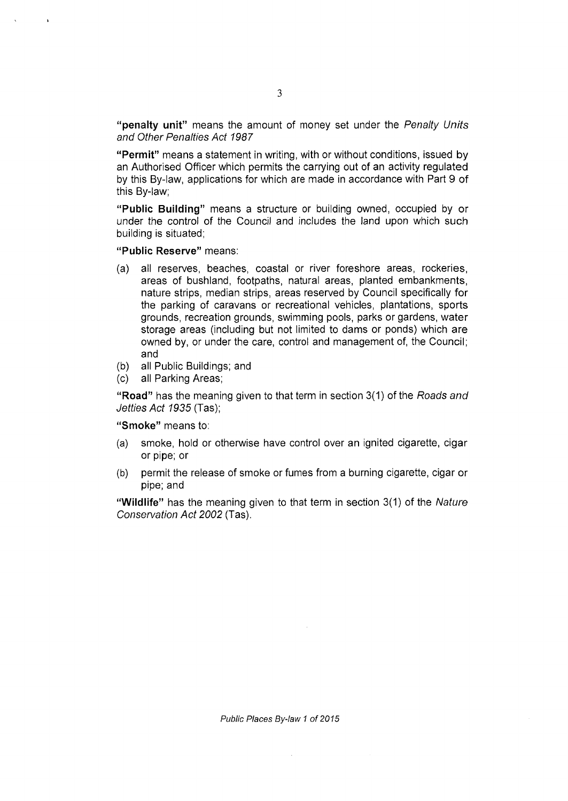**"penalty unit"** means the amount of money set under the *Penalty Units and Other Penalties Act 1987* 

**"Permit"** means a statement in writing, with or without conditions, issued by an Authorised Officer which permits the carrying out of an activity regulated by this By-law, applications for which are made in accordance with Part 9 of this By-law;

**"Public Building"** means a structure or building owned, occupied by or under the control of the Council and includes the land upon which such building is situated;

**"Public Reserve"** means:

- (a) all reserves, beaches, coastal or river foreshore areas, rockeries, areas of bushland, footpaths, natural areas, planted embankments, nature strips, median strips, areas reserved by Council specifically for the parking of caravans or recreational vehicles, plantations, sports grounds, recreation grounds, swimming pools, parks or gardens, water storage areas (including but not limited to dams or ponds) which are owned by, or under the care, control and management of, the Council; and
- (b) all Public Buildings; and
- (c) all Parking Areas;

**"Road"** has the meaning given to that term in section 3(1) of the *Roads and Jetties Act 1935* (Tas);

**"Smoke"** means to:

- (a) smoke, hold or otherwise have control over an ignited cigarette, cigar or pipe; or
- (b) permit the release of smoke or fumes from a burning cigarette, cigar or pipe; and

**"Wildlife"** has the meaning given to that term in section 3(1) of the *Nature Conservation Act 2002* (Tas).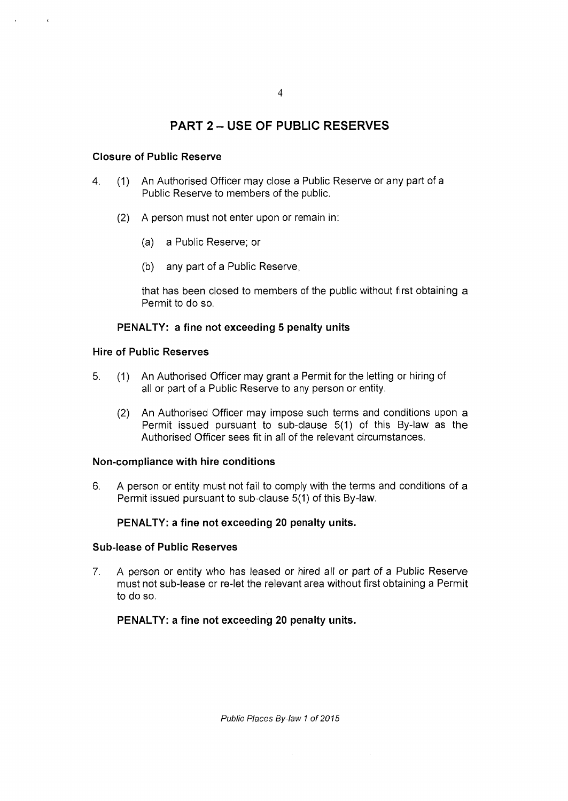# PART 2 - USE OF PUBLIC RESERVES

# **Closure of Public Reserve**

- 4. (1) An Authorised Officer may close a Public Reserve or any part of a Public Reserve to members of the public.
	- (2) A person must not enter upon or remain in:
		- (a) a Public Reserve; or
		- (b) any part of a Public Reserve,

that has been closed to members of the public without first obtaining a Permit to do so.

# **PENALTY: a fine not exceeding 5 penalty units**

## **Hire of Public Reserves**

- 5. (1) An Authorised Officer may grant a Permit for the letting or hiring of all or part of a Public Reserve to any person or entity.
	- (2) An Authorised Officer may impose such terms and conditions upon a Permit issued pursuant to sub-clause 5(1) of this By-law as the Authorised Officer sees fit in all of the relevant circumstances.

#### **Non-compliance with hire conditions**

6. A person or entity must not fail to comply with the terms and conditions of a Permit issued pursuant to sub-clause 5(1) of this By-law.

# **PENALTY: a fine not exceeding 20 penalty units.**

#### **Sub-lease of Public Reserves**

7. A person or entity who has leased or hired all or part *of* a Public Reserve must not sub-lease or re-let the relevant area without first obtaining a Permit to do so.

# **PENALTY: a fine not exceeding 20 penalty units.**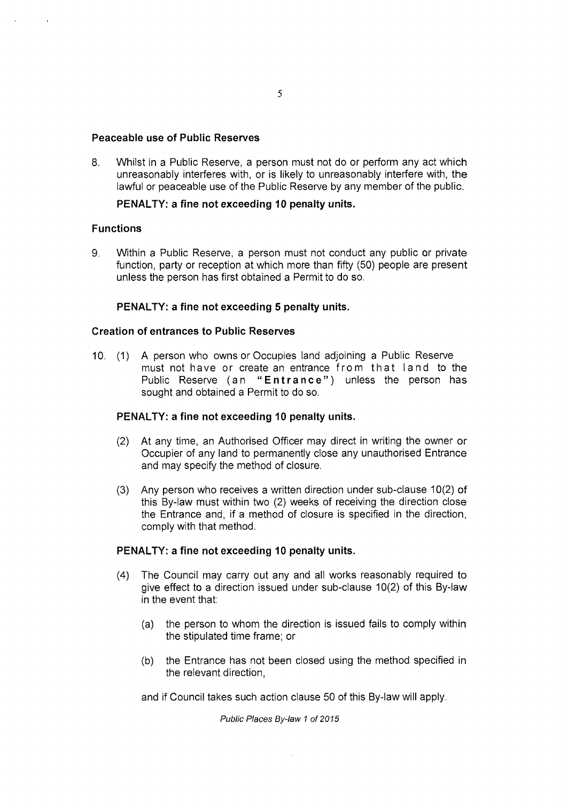#### **Peaceable use of Public Reserves**

8. Whilst in a Public Reserve, a person must not do or perform any act which unreasonably interferes with, or is likely to unreasonably interfere with, the lawful or peaceable use of the Public Reserve by any member of the public.

# **PENALTY: a fine not exceeding 10 penalty units.**

# **Functions**

9. Within a Public Reserve, a person must not conduct any public or private function, party or reception at which more than fifty (50) people are present unless the person has first obtained a Permit to do so.

# **PENALTY: a fine not exceeding 5 penalty units.**

# **Creation of entrances to Public Reserves**

10. (1) A person who owns or Occupies land adjoining a Public Reserve must not have or create an entrance from that land to the Public Reserve (an **"Entrance")** unless the person has sought and obtained a Permit to do so.

#### **PENALTY: a fine not exceeding 10 penalty units.**

- (2) At any time, an Authorised Officer may direct in writing the owner or Occupier of any land to permanently close any unauthorised Entrance and may specify the method of closure.
- (3) Any person who receives a written direction under sub-clause 10(2) of this By-law must within two (2) weeks of receiving the direction close the Entrance and, if a method of closure is specified in the direction, comply with that method.

#### **PENALTY: a fine not exceeding 10 penalty units.**

- (4) The Council may carry out any and all works reasonably required to give effect to a direction issued under sub-clause 10(2) of this By-law in the event that:
	- (a) the person to whom the direction is issued fails to comply within the stipulated time frame; or
	- (b) the Entrance has not been closed using the method specified in the relevant direction,

and if Council takes such action clause 50 of this By-law will apply.

 $\mathcal{L}$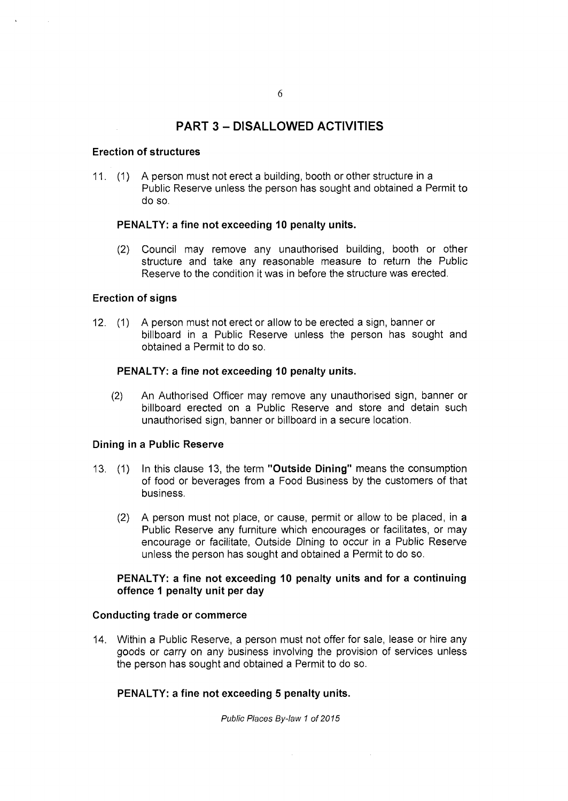# PART 3 - DISALLOWED ACTIVITIES

#### **Erection of structures**

11. (1) A person must not erect a building, booth or other structure in a Public Reserve unless the person has sought and obtained a Permit to do so.

#### **PENALTY: a fine not exceeding 10 penalty units.**

(2) Council may remove any unauthorised building, booth or other structure and take any reasonable measure to return the Public Reserve to the condition it was in before the structure was erected.

# **Erection of signs**

12. (1) A person must not erect or allow to be erected a sign, banner or billboard in a Public Reserve unless the person has sought and obtained a Permit to do so.

#### **PENALTY: a fine not exceeding 10 penalty units.**

(2) An Authorised Officer may remove any unauthorised sign, banner or billboard erected on a Public Reserve and store and detain such unauthorised sign, banner or billboard in a secure location.

#### **Dining in a Public Reserve**

- 13. (1) In this clause 13, the term **"Outside Dining"** means the consumption of food or beverages from a Food Business by the customers of that business.
	- (2) A person must not place, or cause, permit or allow to be placed, in a Public Reserve any furniture which encourages or facilitates, or may encourage or facilitate, Outside Dining to occur in a Public Reserve unless the person has sought and obtained a Permit to do so.

# **PENALTY: a fine not exceeding 10 penalty units and for a continuing offence 1 penalty unit per day**

#### **Conducting trade or commerce**

14. Within a Public Reserve, a person must not offer for sale, lease or hire any goods or carry on any business involving the provision of services unless the person has sought and obtained a Permit to do so.

#### **PENALTY: a fine not exceeding 5 penalty units.**

*Public Places By-law 1 of 2015* 

 $\sim$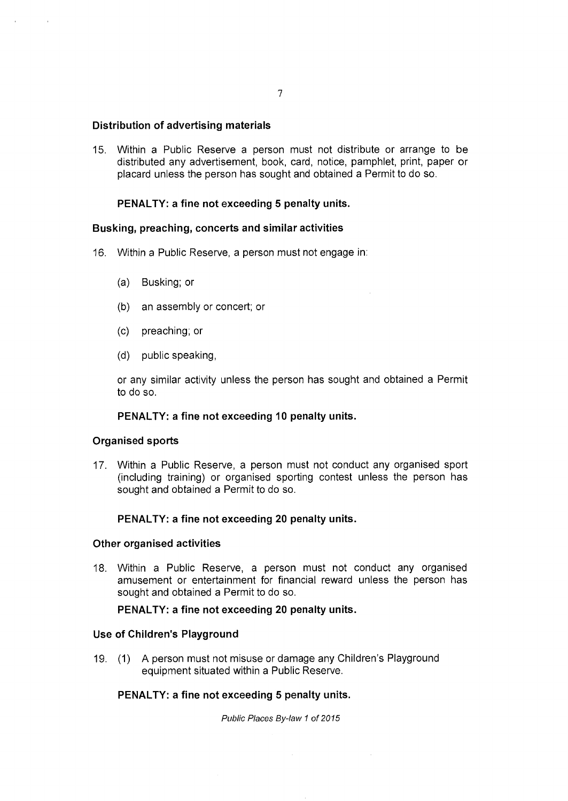#### **Distribution of advertising materials**

15. Within a Public Reserve a person must not distribute or arrange to be distributed any advertisement, book, card, notice, pamphlet, print, paper or placard unless the person has sought and obtained a Permit to do so.

#### **PENALTY: a fine not exceeding 5 penalty units.**

#### **Busking, preaching, concerts and similar activities**

- 16. Within a Public Reserve, a person must not engage in:
	- (a) Busking; or
	- (b) an assembly or concert; or
	- (c) preaching; or
	- (d) public speaking,

or any similar activity unless the person has sought and obtained a Permit to do so.

#### **PENALTY: a fine not exceeding 10 penalty units.**

#### **Organised sports**

17. Within a Public Reserve, a person must not conduct any organised sport (including training) or organised sporting contest unless the person has sought and obtained a Permit to do so.

#### **PENALTY: a fine not exceeding 20 penalty units.**

#### **Other organised activities**

18. Within a Public Reserve, a person must not conduct any organised amusement or entertainment for financial reward unless the person has sought and obtained a Permit to do so.

#### **PENALTY: a fine not exceeding 20 penalty units.**

#### **Use of Children's Playground**

19. (1) A person must not misuse or damage any Children's Playground equipment situated within a Public Reserve.

# **PENALTY: a fine not exceeding 5 penalty units.**

*Public Places By-law 1 of 2015* 

 $\hat{\mathcal{A}}$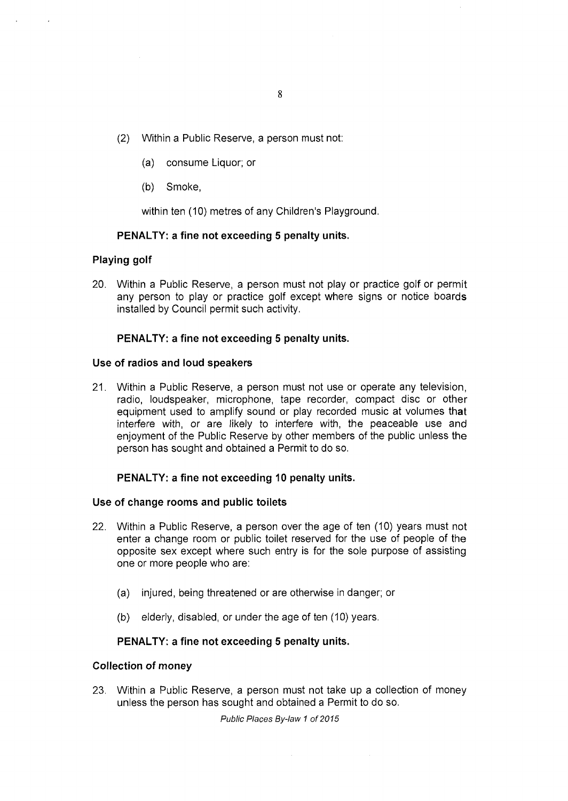- (2) Within a Public Reserve, a person must not:
	- (a) consume Liquor; or
	- (b) Smoke,

within ten (10) metres of any Children's Playground.

#### **PENALTY: a fine not exceeding 5 penalty units.**

#### **Playing golf**

20. Within a Public Reserve, a person must not play or practice golf or permit any person to play or practice golf except where signs or notice boards installed by Council permit such activity.

#### **PENALTY: a fine not exceeding 5 penalty units.**

#### **Use of radios and loud speakers**

21. Within a Public Reserve, a person must not use or operate any television, radio, loudspeaker, microphone, tape recorder, compact disc or other equipment used to amplify sound or play recorded music at volumes that interfere with, or are likely to interfere with, the peaceable use and enjoyment of the Public Reserve by other members of the public unless the person has sought and obtained a Permit to do so.

#### **PENALTY: a fine not exceeding 10 penalty units.**

#### **Use of change rooms and public toilets**

- 22. Within a Public Reserve, a person over the age of ten (10) years must not enter a change room or public toilet reserved for the use of people of the opposite sex except where such entry is for the sole purpose of assisting one or more people who are:
	- (a) injured, being threatened or are otherwise in danger; or
	- (b) elderly, disabled, or under the age of ten (10) years.

#### **PENALTY: a fine not exceeding 5 penalty units.**

#### **Collection of money**

23. Within a Public Reserve, a person must not take up a collection of money unless the person has sought and obtained a Permit to do so.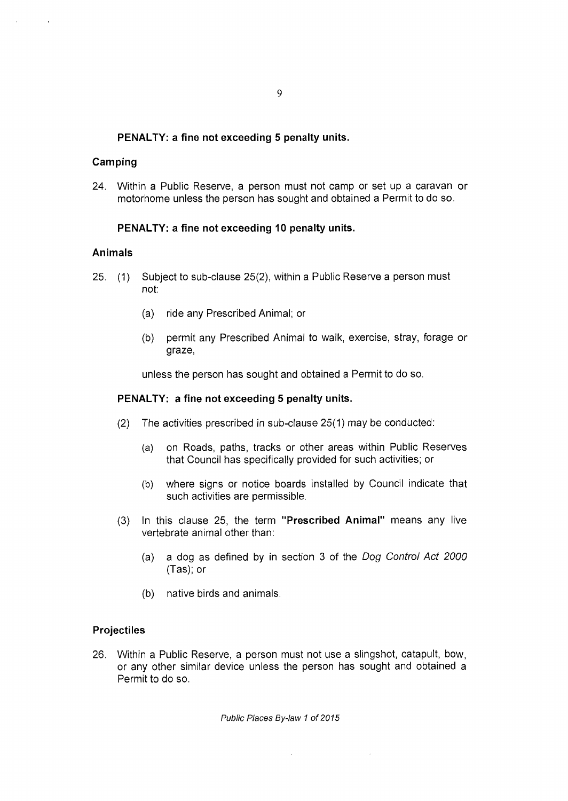# **PENALTY: a fine not exceeding 5 penalty units.**

## **Camping**

24. Within a Public Reserve, a person must not camp or set up a caravan or motorhome unless the person has sought and obtained a Permit to do so.

# **PENALTY: a fine not exceeding 10 penalty units.**

#### **Animals**

- 25. (1) Subject to sub-clause 25(2), within a Public Reserve a person must not:
	- (a) ride any Prescribed Animal; or
	- (b) permit any Prescribed Animal to walk, exercise, stray, forage or graze,

unless the person has sought and obtained a Permit to do so.

#### **PENALTY: a fine not exceeding 5 penalty units.**

- (2) The activities prescribed in sub-clause 25(1) may be conducted:
	- (a) on Roads, paths, tracks or other areas within Public Reserves that Council has specifically provided for such activities; or
	- (b) where signs or notice boards installed by Council indicate that such activities are permissible.
- (3) In this clause 25, the term **"Prescribed Animal"** means any live vertebrate animal other than:
	- (a) a dog as defined by in section 3 of the *Dog Control Act 2000*  (Tas); or
	- (b) native birds and animals.

#### **Projectiles**

26. Within a Public Reserve, a person must not use a slingshot, catapult, bow, or any other similar device unless the person has sought and obtained a Permit to do so.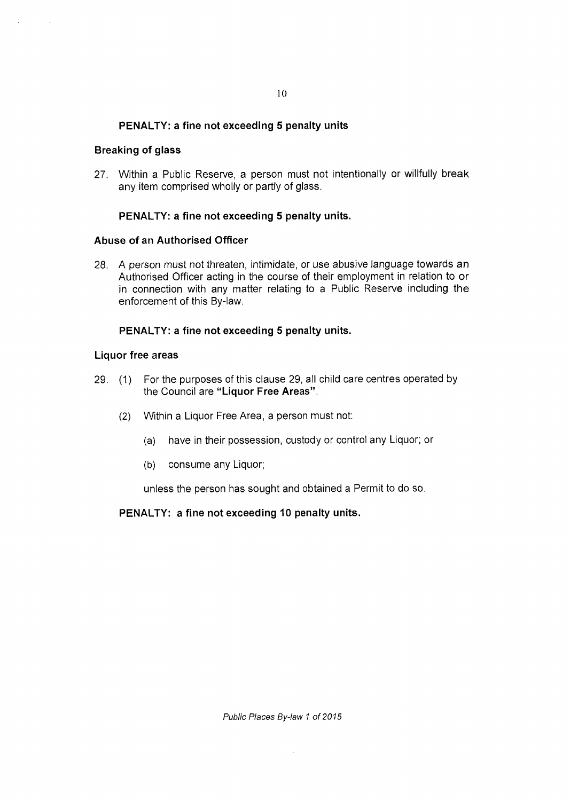# **PENALTY: a fine not exceeding 5 penalty units**

#### **Breaking of glass**

27. Within a Public Reserve, a person must not intentionally or willfully break any item comprised wholly or partly of glass.

#### **PENALTY: a fine not exceeding 5 penalty units.**

#### **Abuse of an Authorised Officer**

28. A person must not threaten, intimidate, or use abusive language towards an Authorised Officer acting in the course of their employment in relation to or in connection with any matter relating to a Public Reserve including the enforcement of this By-law.

#### **PENALTY: a fine not exceeding 5 penalty units.**

#### **Liquor free areas**

- 29. (1) For the purposes of this clause 29, all child care centres operated by the Council are **"Liquor Free Areas".** 
	- (2) Within a Liquor Free Area, a person must not:
		- (a) have in their possession, custody or control any Liquor; or
		- (b) consume any Liquor;

unless the person has sought and obtained a Permit to do so.

**PENALTY: a fine not exceeding 10 penalty units.** 

*Public Places By-law 1 of 2015* 

 $\hat{\mathcal{A}}$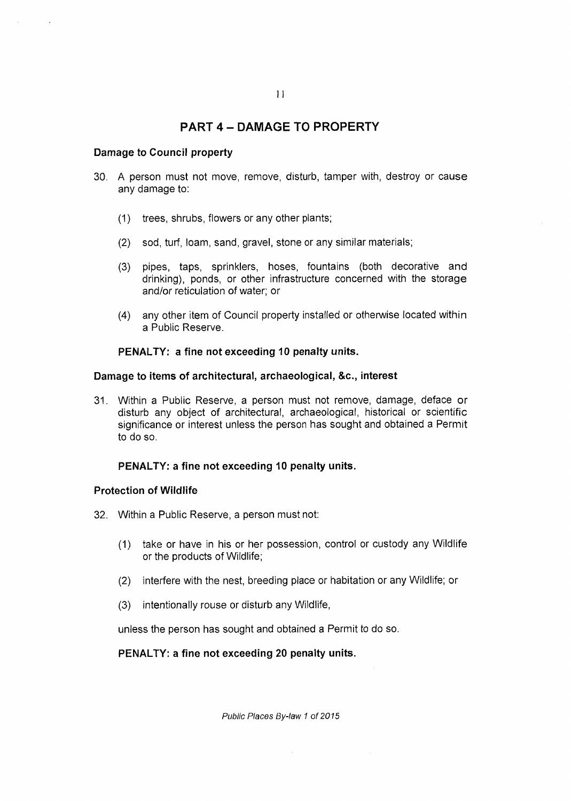# PART 4 - DAMAGE TO PROPERTY

#### **Damage to Council property**

- 30. A person must not move, remove, disturb, tamper with, destroy or cause any damage to:
	- (1) trees, shrubs, flowers or any other plants;
	- (2) sod, turf, loam, sand, gravel, stone or any similar materials;
	- (3) pipes, taps, sprinklers, hoses, fountains (both decorative and drinking), ponds, or other infrastructure concerned with the storage and/or reticulation of water; or
	- (4) any other item of Council property installed or otherwise located within a Public Reserve.

#### **PENALTY: a fine not exceeding 10 penalty units.**

#### **Damage to items of architectural, archaeological, &c., interest**

31. Within a Public Reserve, a person must not remove, damage, deface or disturb any object of architectural, archaeological, historical or scientific significance or interest unless the person has sought and obtained a Permit to do so.

# **PENALTY: a fine not exceeding 10 penalty units.**

#### **Protection of Wildlife**

- 32. Within a Public Reserve, a person must not:
	- (1) take or have in his or her possession, control or custody any Wildlife or the products of Wildlife;
	- (2) interfere with the nest, breeding place or habitation or any Wildlife; or
	- (3) intentionally rouse or disturb any Wildlife,

unless the person has sought and obtained a Permit to do so.

## **PENALTY: a fine not exceeding 20 penalty units.**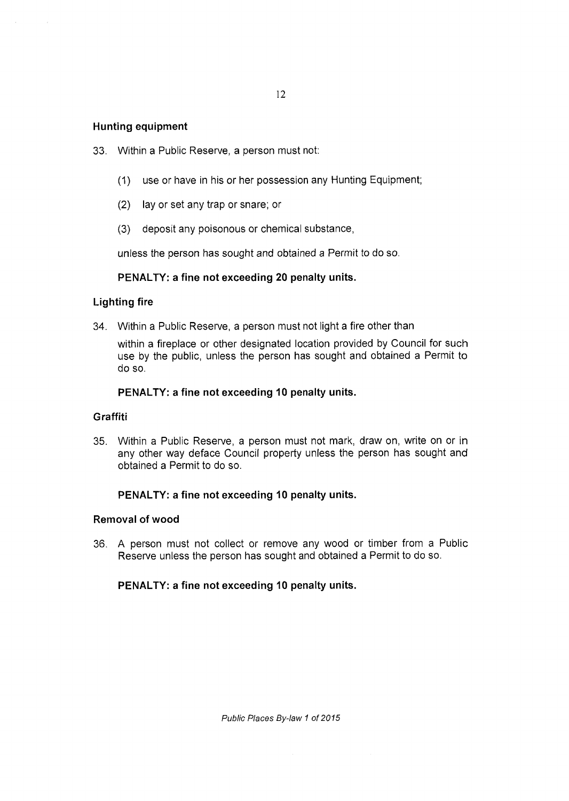## **Hunting equipment**

- 33. Within a Public Reserve, a person must not:
	- (1) use or have in his or her possession any Hunting Equipment;
	- (2) lay or set any trap or snare; or
	- (3) deposit any poisonous or chemical substance,

unless the person has sought and obtained a Permit to do so.

# **PENALTY: a fine not exceeding 20 penalty units.**

# **Lighting fire**

34. Within a Public Reserve, a person must not light a fire other than

within a fireplace or other designated location provided by Council for such use by the public, unless the person has sought and obtained a Permit to do so.

#### **PENALTY: a fine not exceeding 10 penalty units.**

#### **Graffiti**

35. Within a Public Reserve, a person must not mark, draw on, write on or in any other way deface Council property unless the person has sought and obtained a Permit to do so.

#### **PENALTY: a fine not exceeding 10 penalty units.**

#### **Removal of wood**

36. A person must not collect or remove any wood or timber from a Public Reserve unless the person has sought and obtained a Permit to do so.

## **PENALTY: a fine not exceeding 10 penalty units.**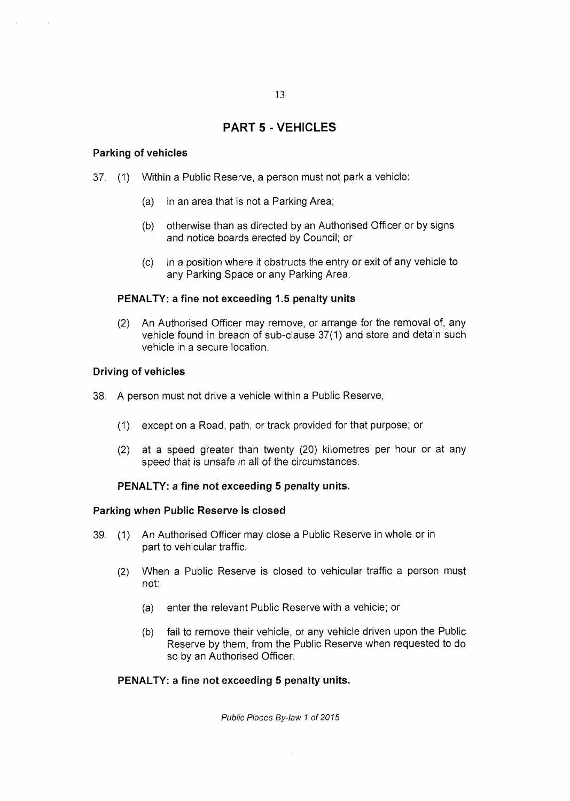# PART 5 - VEHICLES

## **Parking of vehicles**

- 37. (1) Within a Public Reserve, a person must not park a vehicle:
	- (a) in an area that is not a Parking Area;
	- (b) otherwise than as directed by an Authorised Officer or by signs and notice boards erected by Council; or
	- (c) in a position where it obstructs the entry or exit of any vehicle to any Parking Space or any Parking Area.

# **PENALTY: a fine not exceeding 1.5 penalty units**

(2) An Authorised Officer may remove, or arrange for the removal of, any vehicle found in breach of sub-clause 37(1) and store and detain such vehicle in a secure location.

# **Driving of vehicles**

- 38. A person must not drive a vehicle within a Public Reserve,
	- (1) except on a Road, path, or track provided for that purpose; or
	- (2) at a speed greater than twenty (20) kilometres per hour or at any speed that is unsafe in all of the circumstances.

#### **PENALTY: a fine not exceeding 5 penalty units.**

#### **Parking when Public Reserve is closed**

- 39. (1) An Authorised Officer may close a Public Reserve in whole or in part to vehicular traffic.
	- (2) When a Public Reserve is closed to vehicular traffic a person must not:
		- (a) enter the relevant Public Reserve with a vehicle; or
		- (b) fail to remove their vehicle, or any vehicle driven upon the Public Reserve by them, from the Public Reserve when requested to do so by an Authorised Officer.

#### **PENALTY: a fine not exceeding 5 penalty units.**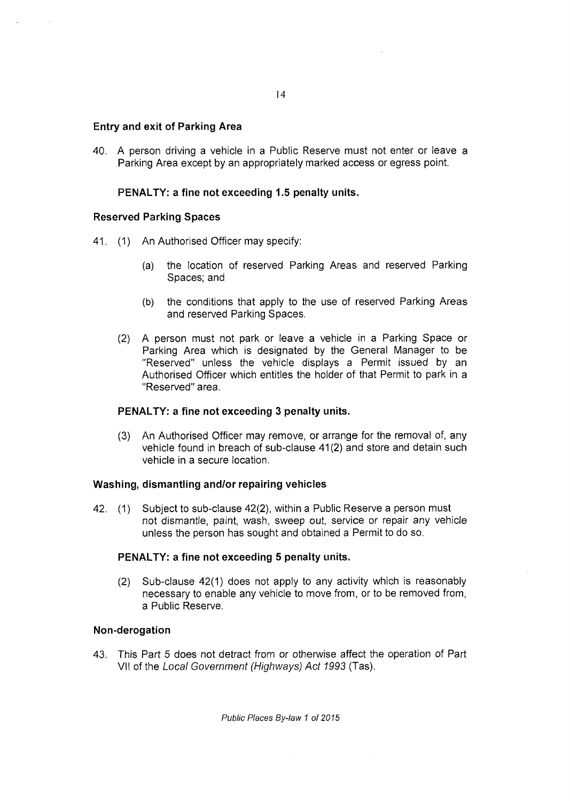## **Entry and exit of Parking Area**

40. A person driving a vehicle in a Public Reserve must not enter or leave a Parking Area except by an appropriately marked access or egress point.

## **PENALTY: a fine not exceeding 1.5 penalty units.**

#### **Reserved Parking Spaces**

- 41. (1) An Authorised Officer may specify:
	- (a) the location of reserved Parking Areas and reserved Parking Spaces; and
	- (b) the conditions that apply to the use of reserved Parking Areas and reserved Parking Spaces.
	- (2) A person must not park or leave a vehicle in a Parking Space or Parking Area which is designated by the General Manager to be "Reserved" unless the vehicle displays a Permit issued by an Authorised Officer which entitles the holder of that Permit to park in a "Reserved" area.

#### **PENALTY: a fine not exceeding 3 penalty units.**

(3) An Authorised Officer may remove, or arrange for the removal of, any vehicle found in breach of sub-clause 41(2) and store and detain such vehicle in a secure location.

#### **Washing, dismantling and/or repairing vehicles**

42. (1) Subject to sub-clause 42(2), within a Public Reserve a person must not dismantle, paint, wash, sweep out, service or repair any vehicle unless the person has sought and obtained a Permit to do so.

#### **PENALTY: a fine not exceeding 5 penalty units.**

(2) Sub-clause 42(1) does not apply to any activity which is reasonably necessary to enable any vehicle to move from, or to be removed from, a Public Reserve.

#### **Non-derogation**

43. This Part 5 does not detract from or otherwise affect the operation of Part VII of the *Local Government (Highways) Act 1993* (Tas).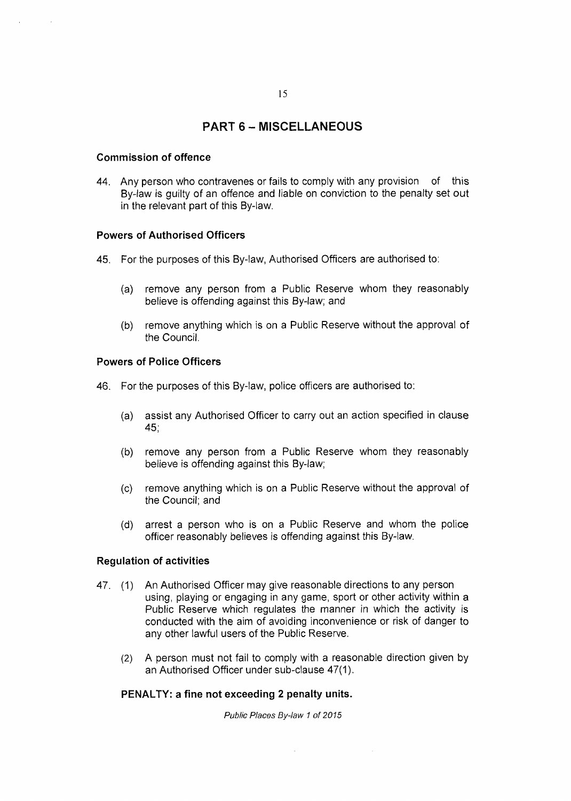# PART 6 - MISCELLANEOUS

#### **Commission of offence**

44. Any person who contravenes or fails to comply with any provision of this By-law is guilty of an offence and liable on conviction to the penalty set out in the relevant part of this By-law.

#### **Powers of Authorised Officers**

- 45. For the purposes of this By-law, Authorised Officers are authorised to:
	- (a) remove any person from a Public Reserve whom they reasonably believe is offending against this By-law; and
	- (b) remove anything which is on a Public Reserve without the approval of the Council.

#### **Powers of Police Officers**

- 46. For the purposes of this By-law, police officers are authorised to:
	- (a) assist any Authorised Officer to carry out an action specified in clause 45;
	- (b) remove any person from a Public Reserve whom they reasonably believe is offending against this By-law;
	- (c) remove anything which is on a Public Reserve without the approval of the Council; and
	- (d) arrest a person who is on a Public Reserve and whom the police officer reasonably believes is offending against this By-law.

#### **Regulation of activities**

- 47. (1) An Authorised Officer may give reasonable directions to any person using, playing or engaging in any game, sport or other activity within a Public Reserve which regulates the manner in which the activity is conducted with the aim of avoiding inconvenience or risk of danger to any other lawful users of the Public Reserve.
	- (2) A person must not fail to comply with a reasonable direction given by an Authorised Officer under sub-clause 47(1).

#### **PENALTY: a fine not exceeding 2 penalty units.**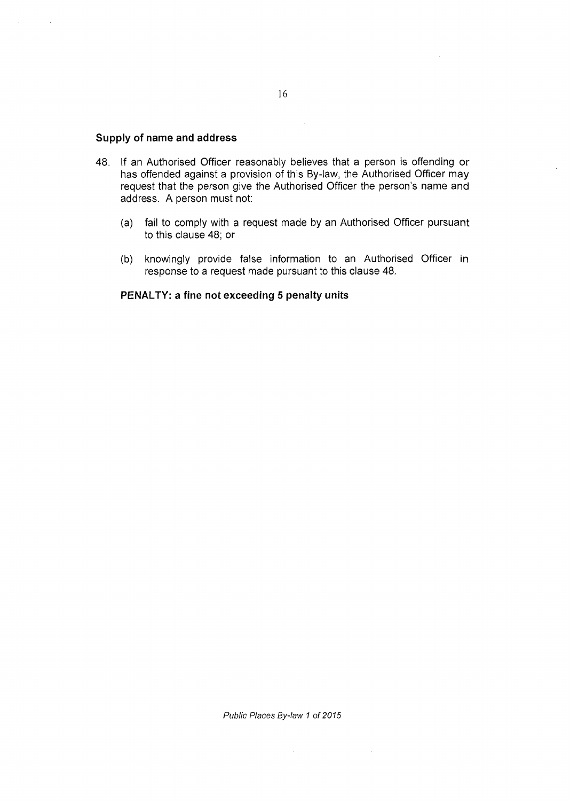# **Supply of name and address**

- 48. If an Authorised Officer reasonably believes that a person is offending or has offended against a provision of this By-law, the Authorised Officer may request that the person give the Authorised Officer the person's name and address. A person must not;
	- (a) fail to comply with a request made by an Authorised Officer pursuant to this clause 48; or
	- (b) knowingly provide false information to an Authorised Officer in response to a request made pursuant to this clause 48.

#### **PENALTY: a fine not exceeding 5 penalty units**

 $\Delta \phi$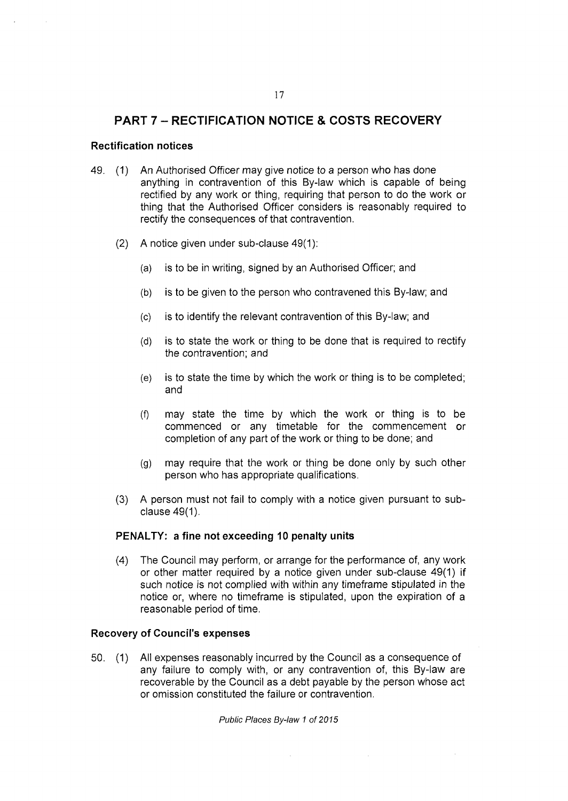# PART 7 - RECTIFICATION NOTICE & COSTS RECOVERY

#### **Rectification notices**

- 49. (1) An Authorised Officer may give notice to a person who has done anything in contravention of this By-law which is capable of being rectified by any work or thing, requiring that person to do the work or thing that the Authorised Officer considers is reasonably required to rectify the consequences of that contravention.
	- (2) A notice given under sub-clause 49(1):
		- (a) is to be in writing, signed by an Authorised Officer; and
		- (b) is to be given to the person who contravened this By-law; and
		- (c) is to identify the relevant contravention of this By-law; and
		- (d) is to state the work or thing to be done that is required to rectify the contravention; and
		- (e) is to state the time by which the work or thing is to be completed; and
		- (f) may state the time by which the work or thing is to be commenced or any timetable for the commencement or completion of any part of the work or thing to be done; and
		- (g) may require that the work or thing be done only by such other person who has appropriate qualifications.
	- (3) A person must not fail to comply with a notice given pursuant to subclause 49(1).

#### **PENALTY: a fine not exceeding 10 penalty units**

(4) The Council may perform, or arrange for the performance of, any work or other matter required by a notice given under sub-clause 49(1) if such notice is not complied with within any timeframe stipulated in the notice or, where no timeframe is stipulated, upon the expiration of a reasonable period of time.

#### **Recovery of Council's expenses**

50. (1) All expenses reasonably incurred by the Council as a consequence of any failure to comply with, or any contravention of, this By-law are recoverable by the Council as a debt payable by the person whose act or omission constituted the failure or contravention.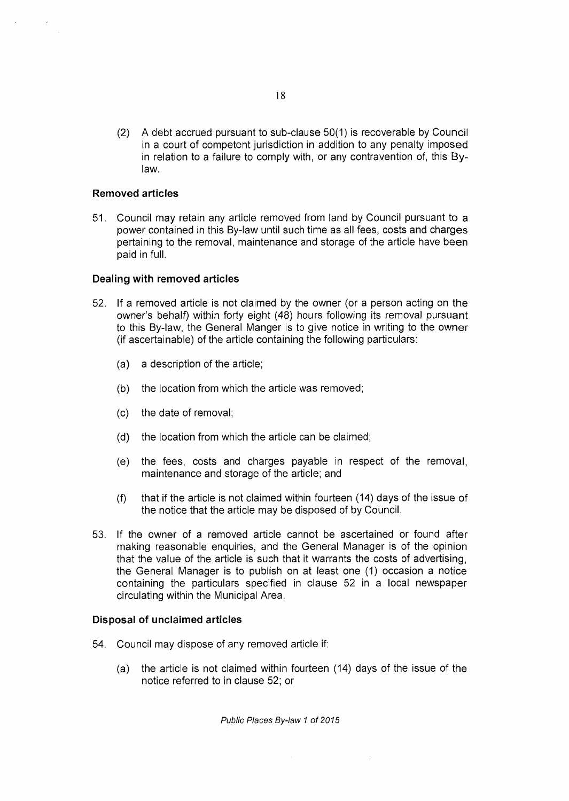(2) A debt accrued pursuant to sub-clause 50(1) is recoverable by Council in a court of competent jurisdiction in addition to any penalty imposed in relation to a failure to comply with, or any contravention of, this Bylaw.

# **Removed articles**

51. Council may retain any article removed from land by Council pursuant to a power contained in this By-law until such time as all fees, costs and charges pertaining to the removal, maintenance and storage of the article have been paid in full.

# **Dealing with removed articles**

- 52. If a removed article is not claimed by the owner (or a person acting on the owner's behalf) within forty eight (48) hours following its removal pursuant to this By-law, the General Manger is to give notice in writing to the owner (if ascertainable) of the article containing the following particulars:
	- (a) a description of the article;
	- (b) the location from which the article was removed;
	- (c) the date of removal;
	- (d) the location from which the article can be claimed;
	- (e) the fees, costs and charges payable in respect of the removal, maintenance and storage of the article; and
	- (f) that if the article is not claimed within fourteen (14) days of the issue of the notice that the article may be disposed of by Council.
- 53. If the owner of a removed article cannot be ascertained or found after making reasonable enquiries, and the General Manager is of the opinion that the value of the article is such that it warrants the costs of advertising, the General Manager is to publish on at least one (1) occasion a notice containing the particulars specified in clause 52 in a local newspaper circulating within the Municipal Area.

#### **Disposal of unclaimed articles**

- 54. Council may dispose of any removed article if:
	- (a) the article is not claimed within fourteen (14) days of the issue of the notice referred to in clause 52; or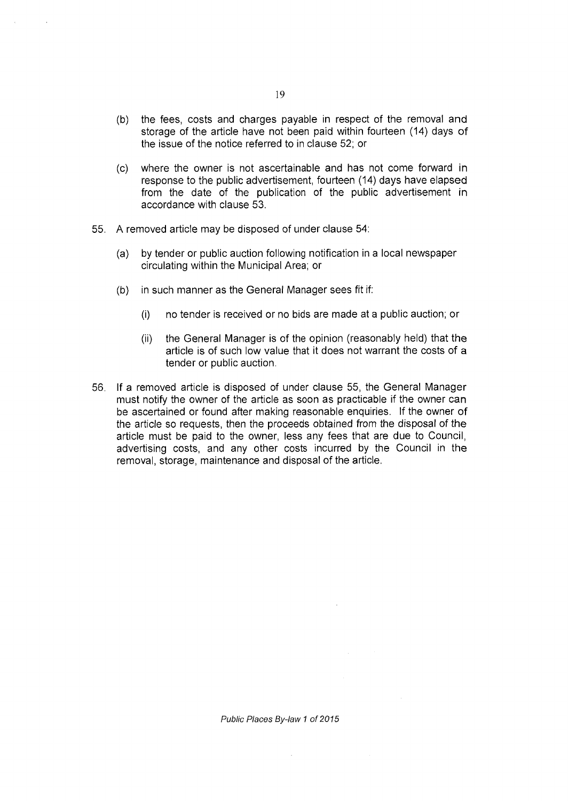- (b) the fees, costs and charges payable in respect of the removal and storage of the article have not been paid within fourteen (14) days of the issue of the notice referred to in clause 52; or
- (c) where the owner is not ascertainable and has not come forward in response to the public advertisement, fourteen (14) days have elapsed from the date of the publication of the public advertisement in accordance with clause 53.
- 55. A removed article may be disposed of under clause 54:
	- (a) by tender or public auction following notification in a local newspaper circulating within the Municipal Area; or
	- (b) in such manner as the General Manager sees fit if:
		- (i) no tender is received or no bids are made at a public auction; or
		- (ii) the General Manager is of the opinion (reasonably held) that the article is of such low value that it does not warrant the costs of a tender or public auction.
- 56. If a removed article is disposed of under clause 55, the General Manager must notify the owner of the article as soon as practicable if the owner can be ascertained or found after making reasonable enquiries. If the owner of the article so requests, then the proceeds obtained from the disposal of the article must be paid to the owner, less any fees that are due to Council, advertising costs, and any other costs incurred by the Council in the removal, storage, maintenance and disposal of the article.

*Public Places By-law 1 of 2015* 

 $\sim$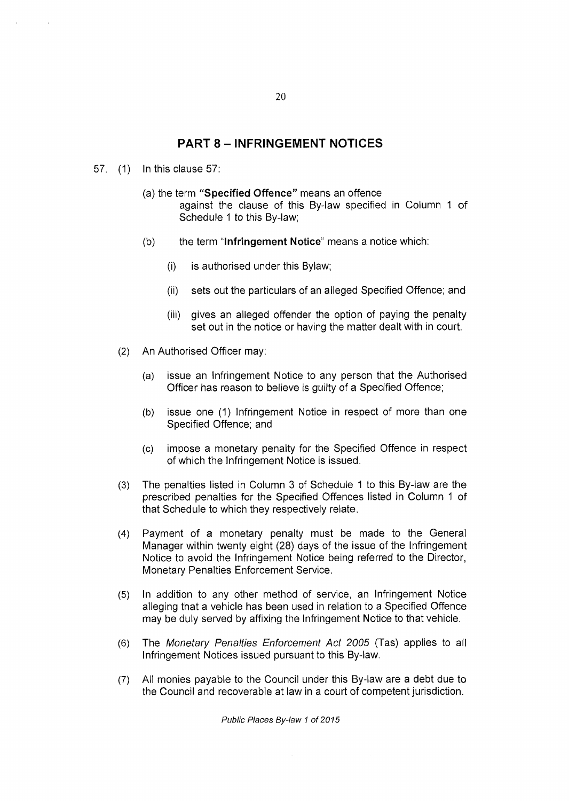# PART 8 - INFRINGEMENT NOTICES

- 57. (1) In this clause 57:
	- (a) the term **"Specified Offence"** means an offence against the clause of this By-law specified in Column 1 of Schedule 1 to this By-law;
	- (b) the term **"Infringement Notice"** means a notice which:
		- (i) is authorised under this Bylaw;
		- (ii) sets out the particulars of an alleged Specified Offence; and
		- (iii) gives an alleged offender the option of paying the penalty set out in the notice or having the matter dealt with in court.
	- (2) An Authorised Officer may:
		- (a) issue an Infringement Notice to any person that the Authorised Officer has reason to believe is guilty of a Specified Offence;
		- (b) issue one (1) Infringement Notice in respect of more than one Specified Offence; and
		- (c) impose a monetary penalty for the Specified Offence in respect of which the Infringement Notice is issued.
	- (3) The penalties listed in Column 3 of Schedule 1 to this By-law are the prescribed penalties for the Specified Offences listed in Column 1 of that Schedule to which they respectively relate.
	- (4) Payment of a monetary penalty must be made to the General Manager within twenty eight (28) days of the issue of the Infringement Notice to avoid the Infringement Notice being referred to the Director, Monetary Penalties Enforcement Service.
	- (5) In addition to any other method of service, an Infringement Notice alleging that a vehicle has been used in relation to a Specified Offence may be duly served by affixing the Infringement Notice to that vehicle.
	- (6) The *Monetary Penalties Enforcement Act 2005* (Tas) applies to all Infringement Notices issued pursuant to this By-law.
	- (7) All monies payable to the Council under this By-law are a debt due to the Council and recoverable at law in a court of competent jurisdiction.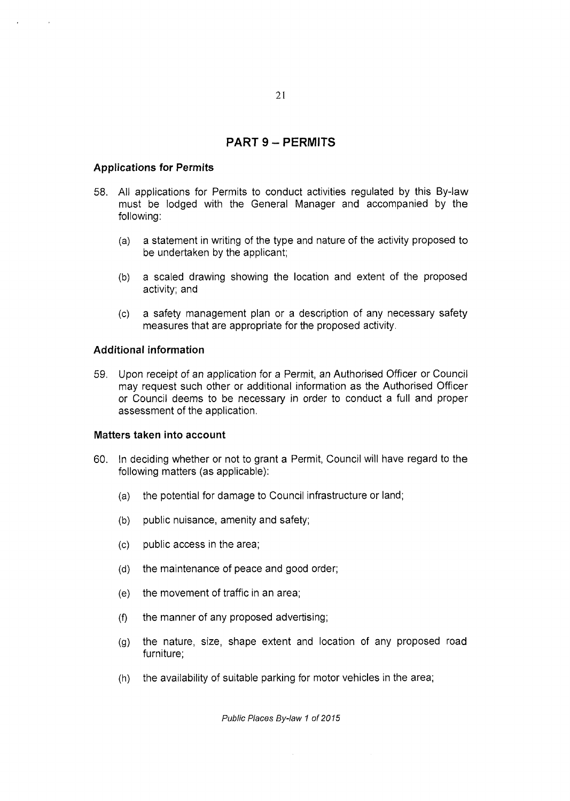# PART 9 - PERMITS

#### **Applications for Permits**

- 58. All applications for Permits to conduct activities regulated by this By-law must be lodged with the General Manager and accompanied by the following:
	- (a) a statement in writing of the type and nature of the activity proposed to be undertaken by the applicant;
	- (b) a scaled drawing showing the location and extent of the proposed activity; and
	- (c) a safety management plan or a description of any necessary safety measures that are appropriate for the proposed activity.

# **Additional information**

59. Upon receipt of an application for a Permit, an Authorised Officer or Council may request such other or additional information as the Authorised Officer or Council deems to be necessary in order to conduct a full and proper assessment of the application.

#### **Matters taken into account**

- 60. In deciding whether or not to grant a Permit, Council will have regard to the following matters (as applicable):
	- (a) the potential for damage to Council infrastructure or land;
	- (b) public nuisance, amenity and safety;
	- (c) public access in the area;
	- (d) the maintenance of peace and good order;
	- (e) the movement of traffic in an area;
	- (f) the manner of any proposed advertising;
	- (g) the nature, size, shape extent and location of any proposed road furniture;
	- (h) the availability of suitable parking for motor vehicles in the area;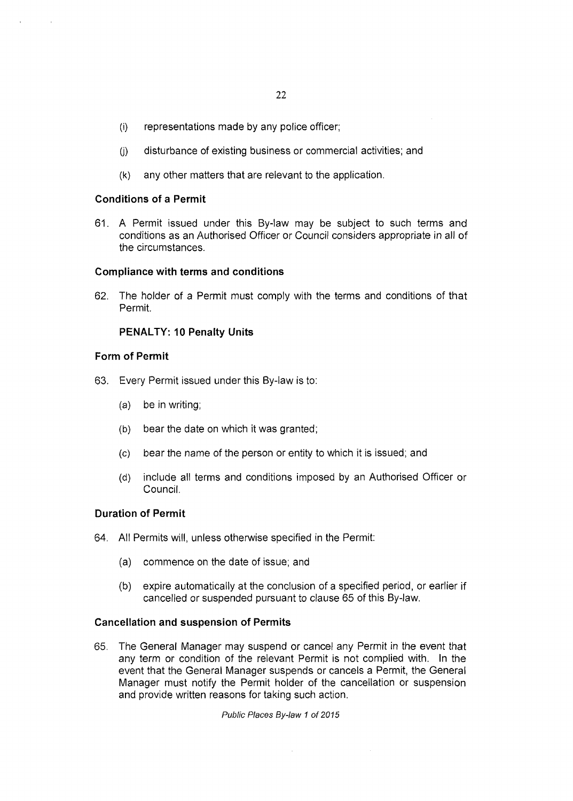- (i) representations made by any police officer;
- (j) disturbance of existing business or commercial activities; and
- (k) any other matters that are relevant to the application.

#### **Conditions of a Permit**

61. A Permit issued under this By-law may be subject to such terms and conditions as an Authorised Officer or Council considers appropriate in all of the circumstances.

#### **Compliance with terms and conditions**

62. The holder of a Permit must comply with the terms and conditions of that Permit.

#### **PENALTY: 10 Penalty Units**

#### **Form of Permit**

- 63. Every Permit issued under this By-law is to:
	- (a) be in writing;
	- (b) bear the date on which it was granted;
	- (c) bear the name of the person or entity to which it is issued; and
	- (d) include all terms and conditions imposed by an Authorised Officer or Council.

#### **Duration of Permit**

- 64. All Permits will, unless otherwise specified in the Permit:
	- (a) commence on the date of issue; and
	- (b) expire automatically at the conclusion of a specified period, or earlier if cancelled or suspended pursuant to clause 65 of this By-law.

#### **Cancellation and suspension of Permits**

65. The General Manager may suspend or cancel any Permit in the event that any term or condition of the relevant Permit is not complied with. In the event that the General Manager suspends or cancels a Permit, the General Manager must notify the Permit holder of the cancellation or suspension and provide written reasons for taking such action.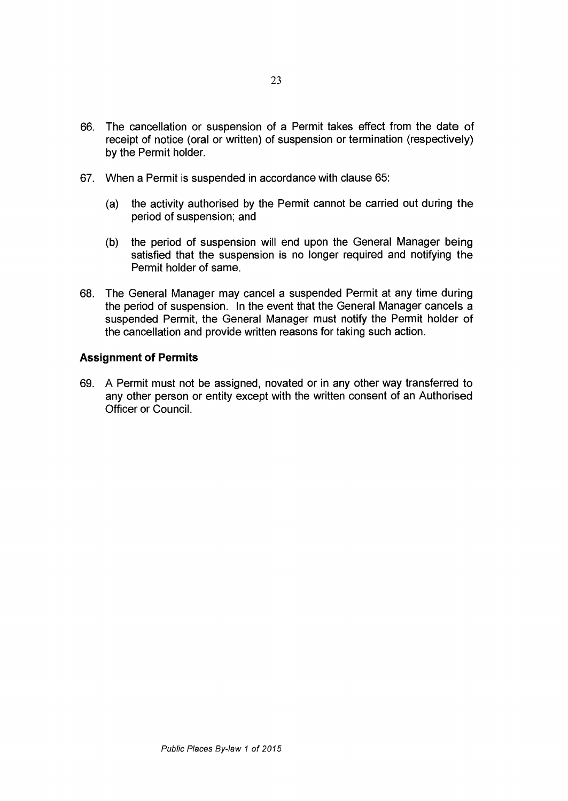- **66. The cancellation or suspension of a Permit takes effect from the date of receipt of notice (oral or written) of suspension or termination (respectively) by the Permit holder.**
- **67. When a Permit is suspended in accordance with clause 65:** 
	- **(a) the activity authorised by the Permit cannot be carried out during the period of suspension; and**
	- **(b) the period of suspension will end upon the General Manager being satisfied that the suspension is no longer required and notifying the Permit holder of same.**
- **68. The General Manager may cancel a suspended Permit at any time during the period of suspension. In the event that the General Manager cancels a suspended Permit, the General Manager must notify the Permit holder of the cancellation and provide written reasons for taking such action.**

#### Assignment of Permits

**69. A Permit must not be assigned, novated or in any other way transferred to any other person or entity except with the written consent of an Authorised Officer or Council.**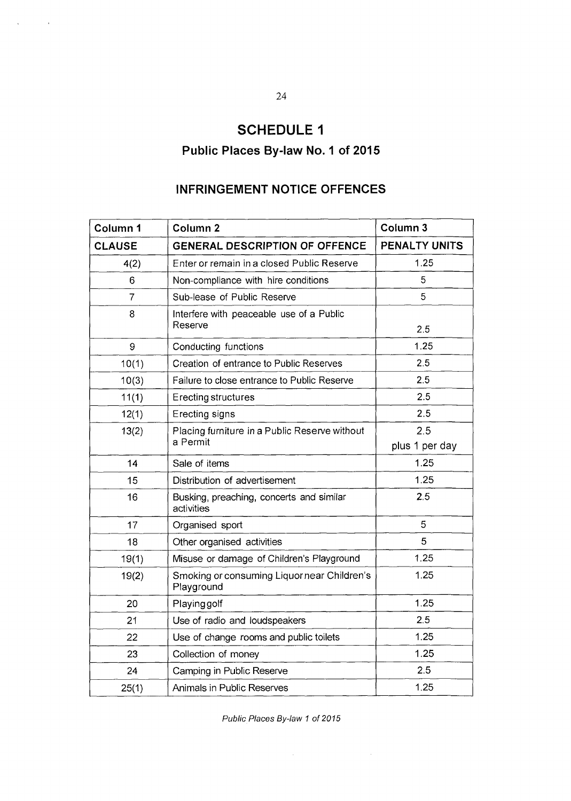# SCHEDULE 1

# Public Places By-law No. 1 of 2015

# INFRINGEMENT NOTICE OFFENCES

| Column 1       | Column <sub>2</sub>                                       | Column 3       |
|----------------|-----------------------------------------------------------|----------------|
| <b>CLAUSE</b>  | <b>GENERAL DESCRIPTION OF OFFENCE</b>                     | PENALTY UNITS  |
| 4(2)           | Enter or remain in a closed Public Reserve                | 1.25           |
| 6              | Non-compliance with hire conditions                       | 5              |
| $\overline{7}$ | Sub-lease of Public Reserve                               | 5              |
| 8              | Interfere with peaceable use of a Public<br>Reserve       | 2.5            |
| 9              | Conducting functions                                      | 1.25           |
| 10(1)          | Creation of entrance to Public Reserves                   | 2.5            |
| 10(3)          | Failure to close entrance to Public Reserve               | 2.5            |
| 11(1)          | Erecting structures                                       | 2.5            |
| 12(1)          | Erecting signs                                            | 2.5            |
| 13(2)          | Placing furniture in a Public Reserve without<br>a Permit | 2.5            |
|                |                                                           | plus 1 per day |
| 14             | Sale of items                                             | 1.25           |
| 15             | Distribution of advertisement                             | 125            |
| 16             | Busking, preaching, concerts and similar<br>activities    | 2.5            |
| 17             | Organised sport                                           | 5              |
| 18             | Other organised activities                                | 5              |
| 19(1)          | Misuse or damage of Children's Playground                 | 1.25           |
| 19(2)          | Smoking or consuming Liquor near Children's<br>Playground | 1.25           |
| 20             | Playing golf                                              | 1.25           |
| 21             | Use of radio and loudspeakers                             | 2.5            |
| 22             | Use of change rooms and public toilets                    | 1.25           |
| 23             | Collection of money                                       | 1.25           |
| 24             | Camping in Public Reserve                                 | 2.5            |
| 25(1)          | Animals in Public Reserves                                | 1.25           |

*Public Places By-law 1 of 2015* 

 $\mathcal{L}^{\mathcal{L}}(\mathcal{L}^{\mathcal{L}})$  and  $\mathcal{L}^{\mathcal{L}}(\mathcal{L}^{\mathcal{L}})$  and  $\mathcal{L}^{\mathcal{L}}(\mathcal{L}^{\mathcal{L}})$  and  $\mathcal{L}^{\mathcal{L}}(\mathcal{L}^{\mathcal{L}})$ 

 $\mathcal{L}_{\text{max}}$  and  $\mathcal{L}_{\text{max}}$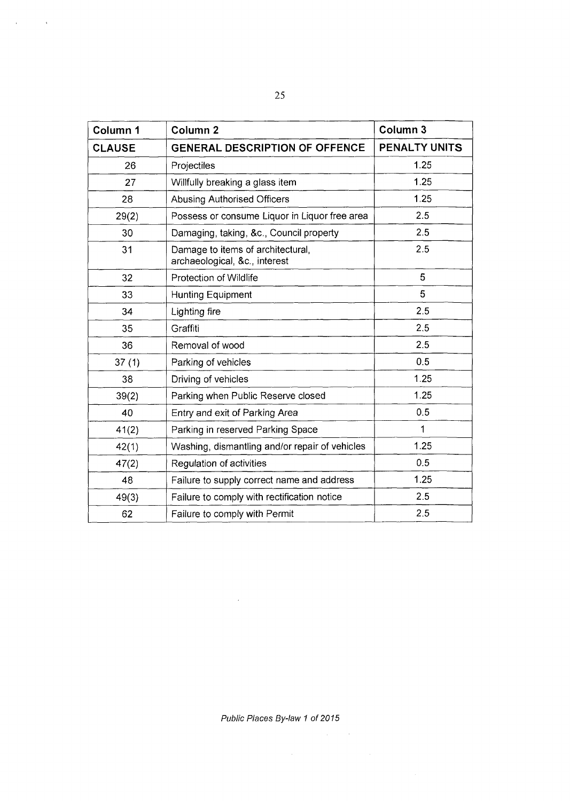| Column 1      | Column <sub>2</sub>                                                | Column <sub>3</sub> |
|---------------|--------------------------------------------------------------------|---------------------|
| <b>CLAUSE</b> | <b>GENERAL DESCRIPTION OF OFFENCE</b>                              | PENALTY UNITS       |
| 26            | Projectiles                                                        | 1.25                |
| 27            | Willfully breaking a glass item                                    | 1.25                |
| 28            | <b>Abusing Authorised Officers</b>                                 | 1.25                |
| 29(2)         | Possess or consume Liquor in Liquor free area                      | 2.5                 |
| 30            | Damaging, taking, &c., Council property                            | 2.5                 |
| 31            | Damage to items of architectural,<br>archaeological, &c., interest | 2.5                 |
| 32            | Protection of Wildlife                                             | 5                   |
| 33            | Hunting Equipment                                                  | 5                   |
| 34            | Lighting fire                                                      | 2.5                 |
| 35            | Graffiti                                                           | 2.5                 |
| 36            | Removal of wood                                                    | 2.5                 |
| 37(1)         | Parking of vehicles                                                | 0.5                 |
| 38            | Driving of vehicles                                                | 1.25                |
| 39(2)         | Parking when Public Reserve closed                                 | 1.25                |
| 40            | Entry and exit of Parking Area                                     | 0.5                 |
| 41(2)         | Parking in reserved Parking Space                                  | 1                   |
| 42(1)         | Washing, dismantling and/or repair of vehicles                     | 1.25                |
| 47(2)         | Regulation of activities                                           | 0.5                 |
| 48            | Failure to supply correct name and address                         | 1.25                |
| 49(3)         | Failure to comply with rectification notice                        | 2.5                 |
| 62            | Failure to comply with Permit                                      | 2.5                 |

 $\mathcal{L}^{\text{max}}_{\text{max}}$  and  $\mathcal{L}^{\text{max}}_{\text{max}}$ 

*Public Places By-law 1 of 2015* 

 $\label{eq:2.1} \frac{1}{\sqrt{2}}\left(\frac{1}{\sqrt{2}}\right)^{2} \left(\frac{1}{\sqrt{2}}\right)^{2} \left(\frac{1}{\sqrt{2}}\right)^{2} \left(\frac{1}{\sqrt{2}}\right)^{2} \left(\frac{1}{\sqrt{2}}\right)^{2} \left(\frac{1}{\sqrt{2}}\right)^{2} \left(\frac{1}{\sqrt{2}}\right)^{2} \left(\frac{1}{\sqrt{2}}\right)^{2} \left(\frac{1}{\sqrt{2}}\right)^{2} \left(\frac{1}{\sqrt{2}}\right)^{2} \left(\frac{1}{\sqrt{2}}\right)^{2} \left(\$ 

 $\mathcal{L}^{\text{max}}_{\text{max}}$